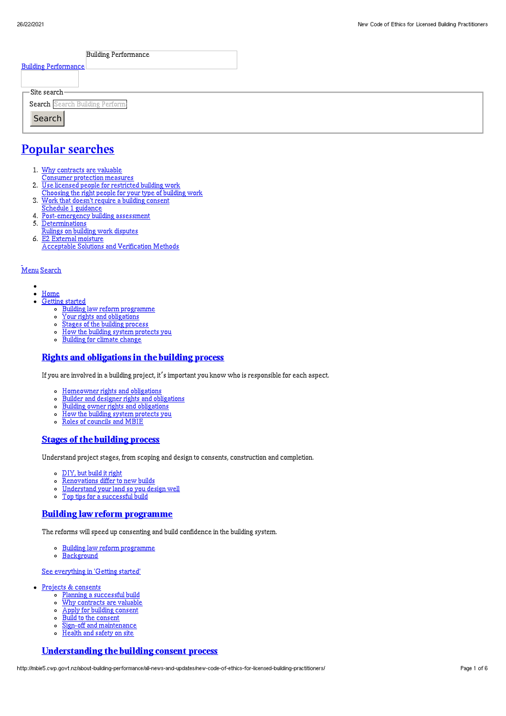| <b>Building Performance</b>     |  |
|---------------------------------|--|
| <b>Building Performance</b>     |  |
|                                 |  |
| $\Gamma$ Site search-           |  |
| Search Search Building Perform: |  |
| Search                          |  |
|                                 |  |

# Popular [searches](http://mbie5.cwp.govt.nz/#)

- 1. Why contracts are valuable
	- Consumer protection measures
- 2. Use licensed people for restricted building work
- Choosing the right people for your type of building work
- 3. Work that doesn't require a building consent
- Schedule 1 guidance
- 4. Post-emergency building assessment
- 5. Determinations
- Rulings on building work disputes 6. E2 External moisture
	- Acceptable Solutions and Verification Methods

#### [Menu](http://mbie5.cwp.govt.nz/#) [Search](http://mbie5.cwp.govt.nz/#)

- $\bullet$  $\bullet$ [Home](http://mbie5.cwp.govt.nz/)
- [Getting](http://mbie5.cwp.govt.nz/getting-started/) started
	- o Building law reform [programme](http://mbie5.cwp.govt.nz/getting-started/building-law-reforms/)
	- Your rights and [obligations](http://mbie5.cwp.govt.nz/getting-started/your-rights-and-obligations/)
	- Stages of the building [process](http://mbie5.cwp.govt.nz/getting-started/stages-of-the-building-process/)
	- How the building system [protects](http://mbie5.cwp.govt.nz/getting-started/how-the-building-system-protects-you/) you
	- [Building](http://mbie5.cwp.govt.nz/getting-started/building-for-climate-change/) for climate change

#### Rights and [obligations](http://mbie5.cwp.govt.nz/getting-started/your-rights-and-obligations/) in the building process

If you are involved in a building project, it's important you know who is responsible for each aspect.

- [Homeowner](http://mbie5.cwp.govt.nz/getting-started/your-rights-and-obligations/homeowner-rights-and-obligations/) rights and obligations  $\circ$
- Builder and designer rights and [obligations](http://mbie5.cwp.govt.nz/getting-started/your-rights-and-obligations/builder-and-designer-rights-and-obligations/)  $\circ$
- Building owner rights and [obligations](http://mbie5.cwp.govt.nz/getting-started/your-rights-and-obligations/building-owner-rights-and-obligations/)
- How the building system [protects](http://mbie5.cwp.govt.nz/getting-started/how-the-building-system-protects-you/) you
- $\circ$ Roles of [councils](http://mbie5.cwp.govt.nz/getting-started/how-the-building-system-protects-you/roles-of-councils-and-mbie/) and MBIE

#### Stages of the [building](http://mbie5.cwp.govt.nz/getting-started/stages-of-the-building-process/) process

Understand project stages, from scoping and design to consents, construction and completion.

- [DIY,](http://mbie5.cwp.govt.nz/getting-started/stages-of-the-building-process/diy-but-build-it-right/) but build it right
- [Renovations](http://mbie5.cwp.govt.nz/getting-started/stages-of-the-building-process/renovations-differ-to-new-builds/) differ to new builds  $\circ$
- $\circ$ [Understand](http://mbie5.cwp.govt.nz/getting-started/stages-of-the-building-process/understand-your-land/) your land so you design well
- Top tips for a [successful](http://mbie5.cwp.govt.nz/getting-started/stages-of-the-building-process/top-tips-for-building/) build  $\circ$

## Building law reform [programme](http://mbie5.cwp.govt.nz/getting-started/building-law-reforms/)

The reforms will speed up consenting and build confidence in the building system.

- Building law reform [programme](http://mbie5.cwp.govt.nz/getting-started/building-law-reforms/)
- o [Background](http://mbie5.cwp.govt.nz/getting-started/building-law-reforms/background-to-the-building-law-reforms/)

#### See [everything](http://mbie5.cwp.govt.nz/getting-started/) in 'Getting started'

- Projects & [consents](http://mbie5.cwp.govt.nz/projects-and-consents/)
	- o Planning a [successful](http://mbie5.cwp.govt.nz/projects-and-consents/planning-a-successful-build/) build
	- o Why [contracts](http://mbie5.cwp.govt.nz/projects-and-consents/why-contracts-are-valuable/) are valuable
	- $\circ$ Apply for building [consent](http://mbie5.cwp.govt.nz/projects-and-consents/apply-for-building-consent/)
	- Build to the [consent](http://mbie5.cwp.govt.nz/projects-and-consents/build-to-the-consent/)  $\circ$
	- Sign-off and [maintenance](http://mbie5.cwp.govt.nz/projects-and-consents/sign-off-and-maintenance/)  $\circ$
	- [Health](http://mbie5.cwp.govt.nz/projects-and-consents/health-and-safety-on-site/) and safety on site  $\circ$

### [Understanding](http://mbie5.cwp.govt.nz/projects-and-consents/apply-for-building-consent/building-consent-process/) the building consent process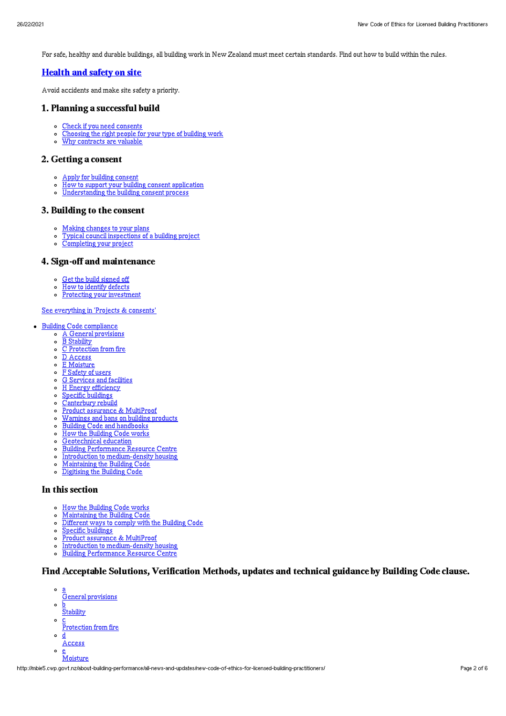For safe, healthy and durable buildings, all building work in New Zealand must meet certain standards. Find out how to build within the rules.

## [Health](http://mbie5.cwp.govt.nz/projects-and-consents/health-and-safety-on-site/) and safety on site

Avoid accidents and make site safety a priority.

#### 1. Planning a successful build

- o Check if you need [consents](http://mbie5.cwp.govt.nz/projects-and-consents/planning-a-successful-build/scope-and-design/check-if-you-need-consents/)
- [Choosing](http://mbie5.cwp.govt.nz/projects-and-consents/planning-a-successful-build/scope-and-design/choosing-the-right-people-for-your-type-of-building-work/) the right people for your type of building work
- Why [contracts](http://mbie5.cwp.govt.nz/projects-and-consents/why-contracts-are-valuable/) are valuable  $\overline{a}$

#### 2. Getting a consent

- Apply for building [consent](http://mbie5.cwp.govt.nz/projects-and-consents/apply-for-building-consent/)
- How to support your building consent [application](http://mbie5.cwp.govt.nz/projects-and-consents/apply-for-building-consent/support-your-consent-application/)
- [Understanding](http://mbie5.cwp.govt.nz/projects-and-consents/apply-for-building-consent/building-consent-process/) the building consent process  $\sim$

#### 3. Building to the consent

- Making [changes](http://mbie5.cwp.govt.nz/projects-and-consents/build-to-the-consent/making-changes-to-your-plans/) to your plans
- Typical council [inspections](http://mbie5.cwp.govt.nz/projects-and-consents/build-to-the-consent/typical-council-inspections/) of a building project
- [Completing](http://mbie5.cwp.govt.nz/projects-and-consents/sign-off-and-maintenance/completing-your-project/) your project

## 4. Sign-off and maintenance

- Get the build [signed](http://mbie5.cwp.govt.nz/projects-and-consents/sign-off-and-maintenance/completing-your-project/get-the-build-signed-off/) off
- How to [identify](http://mbie5.cwp.govt.nz/projects-and-consents/sign-off-and-maintenance/completing-your-project/how-to-identify-defects/) defects
- Protecting your [investment](http://mbie5.cwp.govt.nz/projects-and-consents/sign-off-and-maintenance/protecting-your-investment/)  $\circ$

#### See [everything](http://mbie5.cwp.govt.nz/projects-and-consents/) in 'Projects & consents'

- Building Code [compliance](http://mbie5.cwp.govt.nz/building-code-compliance/)
	- A General [provisions](http://mbie5.cwp.govt.nz/building-code-compliance/a-general-provisions/)
	- o B [Stability](http://mbie5.cwp.govt.nz/building-code-compliance/b-stability/)
	- C [Protection](http://mbie5.cwp.govt.nz/building-code-compliance/c-protection-from-fire/) from fire
	- $\circ$ D [Access](http://mbie5.cwp.govt.nz/building-code-compliance/d-access/)
	- E [Moisture](http://mbie5.cwp.govt.nz/building-code-compliance/e-moisture/)  $\circ$
	- F [Safety](http://mbie5.cwp.govt.nz/building-code-compliance/f-safety-of-users/) of users  $\circ$
	- G [Services](http://mbie5.cwp.govt.nz/building-code-compliance/g-services-and-facilities/) and facilities  $\circ$
	- H Energy [efficiency](http://mbie5.cwp.govt.nz/building-code-compliance/h-energy-efficiency/)  $\circ$
	- $\circ$ Specific [buildings](http://mbie5.cwp.govt.nz/building-code-compliance/specific-buildings/)
	- $\circ$ [Canterbury](http://mbie5.cwp.govt.nz/building-code-compliance/canterbury-rebuild/) rebuild
	- Product assurance & [MultiProof](http://mbie5.cwp.govt.nz/building-code-compliance/product-assurance-and-multiproof/)  $\circ$
	- [Warnings](http://mbie5.cwp.govt.nz/building-code-compliance/warnings-and-bans-on-building-products/) and bans on building products  $\circ$
	- Building Code and [handbooks](http://mbie5.cwp.govt.nz/building-code-compliance/building-code-and-handbooks/)  $\circ$
	- $\circ$ How the [Building](http://mbie5.cwp.govt.nz/building-code-compliance/how-the-building-code-works/) Code works
	- $\circ$ [Geotechnical](http://mbie5.cwp.govt.nz/building-code-compliance/geotechnical-education/) education
	- Building [Performance](http://mbie5.cwp.govt.nz/building-code-compliance/building-performance-resource-centre/) Resource Centre  $\circ$
	- Introduction to [medium-density](http://mbie5.cwp.govt.nz/building-code-compliance/introduction-to-medium-density-housing/) housing  $\circ$
	- $\circ$ [Maintaining](http://mbie5.cwp.govt.nz/building-code-compliance/annual-building-code-updates/) the Building Code
	- $\circ$ [Digitising](http://mbie5.cwp.govt.nz/building-code-compliance/digitising-the-building-code/) the Building Code

## In this section

- o How the [Building](http://mbie5.cwp.govt.nz/building-code-compliance/how-the-building-code-works/) Code works
- [Maintaining](http://mbie5.cwp.govt.nz/building-code-compliance/annual-building-code-updates/) the Building Code  $\circ$
- [Different](http://mbie5.cwp.govt.nz/building-code-compliance/how-the-building-code-works/different-ways-to-comply/) ways to comply with the Building Code  $\circ$
- Specific [buildings](http://mbie5.cwp.govt.nz/building-code-compliance/specific-buildings/)  $\circ$
- Product assurance & [MultiProof](http://mbie5.cwp.govt.nz/building-code-compliance/product-assurance-and-multiproof/)  $\sim$
- $\circ$ Introduction to [medium-density](http://mbie5.cwp.govt.nz/building-code-compliance/introduction-to-medium-density-housing/) housing
- $\circ$ Building [Performance](http://mbie5.cwp.govt.nz/building-code-compliance/building-performance-resource-centre/) Resource Centre

### Find Acceptable Solutions, Verification Methods, updates and technical guidance by Building Code clause.

- $\circ$ a General provisions
- $\circ$ b **Stability**
- $\circ$ c
- Protection from fire
- $\circ$ d
- Access  $\sim$  $\bar{\mathrm{M}}$ oisture

http://mbie5.cwp.govt.nz/about-building-performance/all-news-and-updates/new-code-of-ethics-for-licensed-building-practitioners/ Page 2 of 6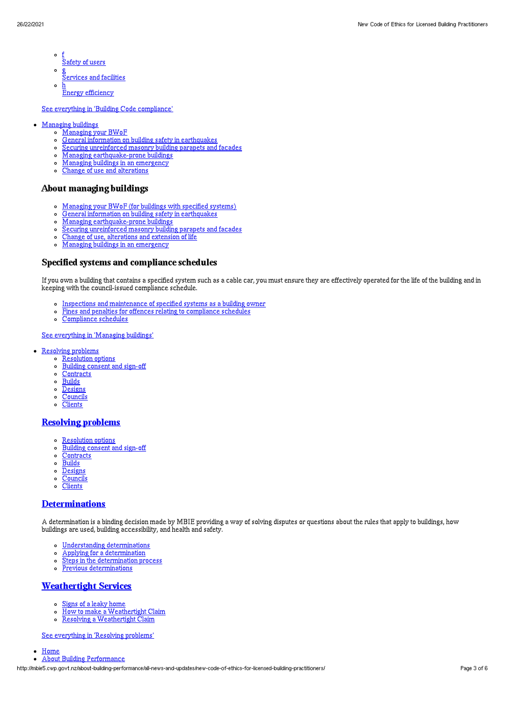- $\circ$ f Safety of users
- $\circ$ g
- **Services** and facilities
- $\circ$ h Energy efficiency

See everything in 'Building Code [compliance](http://mbie5.cwp.govt.nz/building-code-compliance/)'

- [Managing](http://mbie5.cwp.govt.nz/managing-buildings/) buildings  $\bullet$ 
	- [Managing](http://mbie5.cwp.govt.nz/managing-buildings/managing-your-bwof/) your BWoF
	- General information on building safety in [earthquakes](http://mbie5.cwp.govt.nz/managing-buildings/building-safety-in-earthquakes/)  $\sim$
	- Securing [unreinforced](http://mbie5.cwp.govt.nz/managing-buildings/unreinforced-masonry/) masonry building parapets and facades  $\circ$
	- Managing [earthquake-prone](http://mbie5.cwp.govt.nz/managing-buildings/managing-earthquake-prone-buildings/) buildings  $\circ$
	- Managing buildings in an [emergency](http://mbie5.cwp.govt.nz/managing-buildings/managing-buildings-in-an-emergency/)  $\circ$
	- $\circ$ Change of use and [alterations](http://mbie5.cwp.govt.nz/managing-buildings/change-of-use-and-alterations/)

#### About managing buildings

- [Managing](http://mbie5.cwp.govt.nz/managing-buildings/managing-your-bwof/) your BWoF (for buildings with specified systems)
- General information on building safety in [earthquakes](http://mbie5.cwp.govt.nz/managing-buildings/building-safety-in-earthquakes/)  $\circ$
- $\circ$ Managing [earthquake-prone](http://mbie5.cwp.govt.nz/managing-buildings/managing-earthquake-prone-buildings/) buildings
- Securing [unreinforced](http://mbie5.cwp.govt.nz/managing-buildings/unreinforced-masonry/) masonry building parapets and facades
- Change of use, [alterations](http://mbie5.cwp.govt.nz/managing-buildings/change-of-use-and-alterations/) and extension of life  $\circ$
- o Managing buildings in an [emergency](http://mbie5.cwp.govt.nz/managing-buildings/managing-buildings-in-an-emergency/)

#### Specified systems and compliance schedules

If you own a building that contains a specified system such as a cable car, you must ensure they are effectively operated for the life of the building and in keeping with the council-issued compliance schedule.

- Inspections and [maintenance](http://mbie5.cwp.govt.nz/managing-buildings/managing-your-bwof/inspections-and-maintenance/) of specified systems as a building owner
- Fines and penalties for offences relating to [compliance](http://mbie5.cwp.govt.nz/managing-buildings/managing-your-bwof/fines-and-penalties/) schedules
- $\circ$ [Compliance](http://mbie5.cwp.govt.nz/projects-and-consents/sign-off-and-maintenance/completing-your-project/compliance-schedules/) schedules

#### See [everything](http://mbie5.cwp.govt.nz/managing-buildings/) in 'Managing buildings'

- [Resolving](http://mbie5.cwp.govt.nz/resolving-problems/) problems
	- **o** [Resolution](http://mbie5.cwp.govt.nz/resolving-problems/resolution-options/) options
	- [Building](http://mbie5.cwp.govt.nz/resolving-problems/building-consent-and-sign-off/) consent and sign-off
	- o [Contracts](http://mbie5.cwp.govt.nz/resolving-problems/contracts/)
	- **[Builds](http://mbie5.cwp.govt.nz/resolving-problems/builds/)**  $\circ$
	- o [Designs](http://mbie5.cwp.govt.nz/resolving-problems/designs/)
	- [Councils](http://mbie5.cwp.govt.nz/resolving-problems/councils/)
	- $\circ$ **[Clients](http://mbie5.cwp.govt.nz/resolving-problems/clients/)**

#### [Resolving](http://mbie5.cwp.govt.nz/resolving-problems/) problems

- [Resolution](http://mbie5.cwp.govt.nz/resolving-problems/resolution-options/) options
- [Building](http://mbie5.cwp.govt.nz/resolving-problems/building-consent-and-sign-off/) consent and sign-off  $\circ$
- $\circ$ **[Contracts](http://mbie5.cwp.govt.nz/resolving-problems/contracts/)**
- **[Builds](http://mbie5.cwp.govt.nz/resolving-problems/builds/)**  $\circ$
- [Designs](http://mbie5.cwp.govt.nz/resolving-problems/designs/)  $\circ$
- **[Councils](http://mbie5.cwp.govt.nz/resolving-problems/councils/)**  $\circ$
- $\circ$ **[Clients](http://mbie5.cwp.govt.nz/resolving-problems/clients/)**

#### **[Determinations](http://mbie5.cwp.govt.nz/resolving-problems/resolution-options/determinations/)**

A determination is a binding decision made by MBIE providing a way of solving disputes or questions about the rules that apply to buildings, how buildings are used, building accessibility, and health and safety.

- Understanding [determinations](http://mbie5.cwp.govt.nz/resolving-problems/resolution-options/determinations/)
- Applying for a [determination](http://mbie5.cwp.govt.nz/resolving-problems/resolution-options/determinations/applying-for-a-determination/)  $\circ$
- $\circ$ Steps in the [determination](http://mbie5.cwp.govt.nz/resolving-problems/resolution-options/determinations/steps-in-the-determination-process/) process
- Previous [determinations](http://mbie5.cwp.govt.nz/resolving-problems/resolution-options/determinations/determinations-issued/)  $\circ$

#### **[Weathertight](http://mbie5.cwp.govt.nz/resolving-problems/resolution-options/weathertight-services/) Services**

- Signs of a leaky [home](http://mbie5.cwp.govt.nz/resolving-problems/resolution-options/weathertight-services/signs-of-a-leaky-home/)
- How to make a [Weathertight](http://mbie5.cwp.govt.nz/resolving-problems/resolution-options/weathertight-services/make-a-weathertight-home-claim/) Claim  $\circ$
- $\circ$ Resolving a [Weathertight](http://mbie5.cwp.govt.nz/resolving-problems/resolution-options/weathertight-services/resolving-a-claim/) Claim

See [everything](http://mbie5.cwp.govt.nz/resolving-problems/) in 'Resolving problems'

- [Home](http://mbie5.cwp.govt.nz/)
- About Building [Performance](http://mbie5.cwp.govt.nz/about-building-performance/)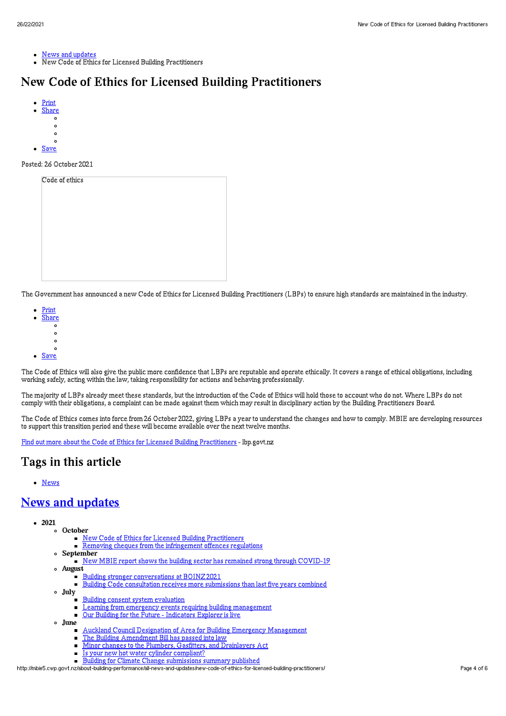- News and [updates](http://mbie5.cwp.govt.nz/about-building-performance/all-news-and-updates/)
- New Code of Ethics for Licensed Building Practitioners

# New Code of Ethics for Licensed Building Practitioners

- [Print](http://mbie5.cwp.govt.nz/#)
- [Share](http://mbie5.cwp.govt.nz/#)  $\circ$
- $\circ$
- $\circ$
- 
- [Save](http://mbie5.cwp.govt.nz/about-building-performance/all-news-and-updates/new-code-of-ethics-for-licensed-building-practitioners/downloadpdf)

#### Posted: 26 October 2021

The Government has announced a new Code of Ethics for Licensed Building Practitioners (LBPs) to ensure high standards are maintained in the industry.

- [Print](http://mbie5.cwp.govt.nz/#)
- [Share](http://mbie5.cwp.govt.nz/#)  $\circ$ 
	- $\circ$
	- $\circ$
	- $\circ$
- [Save](http://mbie5.cwp.govt.nz/about-building-performance/all-news-and-updates/new-code-of-ethics-for-licensed-building-practitioners/downloadpdf)

The Code of Ethics will also give the public more confidence that LBPs are reputable and operate ethically. It covers a range of ethical obligations, including working safely, acting within the law, taking responsibility for actions and behaving professionally.

The majority of LBPs already meet these standards, but the introduction of the Code of Ethics will hold those to account who do not. Where LBPs do not comply with their obligations, a complaint can be made against them which may result in disciplinary action by the Building Practitioners Board.

The Code of Ethics comes into force from 26 October 2022, giving LBPs a year to understand the changes and how to comply. MBIE are developing resources to support this transition period and these will become available over the next twelve months.

Find out more about the Code of Ethics for Licensed Building [Practitioners](https://www.lbp.govt.nz/for-lbps/code-of-ethics/) - lbp.govt.nz

# Tags in this article

[News](http://mbie5.cwp.govt.nz/about-building-performance/all-news-and-updates/?category%255B0%255D=news)

## News and [updates](http://mbie5.cwp.govt.nz/about-building-performance/all-news-and-updates/)

- 2021
	- October New Code of Ethics for Licensed Building [Practitioners](http://mbie5.cwp.govt.nz/about-building-performance/all-news-and-updates/new-code-of-ethics-for-licensed-building-practitioners/)
		- Removing cheques from the [infringement](http://mbie5.cwp.govt.nz/about-building-performance/all-news-and-updates/removing-cheques-from-the-infringement-offences-regulations/) offences regulations
	- September
	- New MBIE report shows the building sector has remained strong through [COVID-19](http://mbie5.cwp.govt.nz/about-building-performance/all-news-and-updates/new-mbie-report-shows-the-building-sector-has-remained-strong-through-covid-19/) August
		- Building stronger [conversations](http://mbie5.cwp.govt.nz/about-building-performance/all-news-and-updates/building-stronger-conversations-at-boinz-2021/) at BOINZ 2021  $\blacksquare$ 
			- Building Code consultation receives more [submissions](http://mbie5.cwp.govt.nz/about-building-performance/all-news-and-updates/building-code-consultation-receives-more-submissions-than-last-five-years-combined/) than last five years combined
	- July
		- Building consent system [evaluation](http://mbie5.cwp.govt.nz/about-building-performance/all-news-and-updates/building-consent-system-evaluation/)
		- Learning from emergency events requiring building [management](http://mbie5.cwp.govt.nz/about-building-performance/all-news-and-updates/learning-from-emergency-events-requiring-building-management/)
		- Our Building for the Future [Indicators](http://mbie5.cwp.govt.nz/about-building-performance/all-news-and-updates/our-building-for-the-future-indicators-explorer-is-live/) Explorer is live  $\blacksquare$
	- June
		- Auckland Council Designation of Area for Building Emergency [Management](http://mbie5.cwp.govt.nz/about-building-performance/all-news-and-updates/auckland-council-designation-of-area-for-building-emergency-management/)
		- The Building [Amendment](http://mbie5.cwp.govt.nz/about-building-performance/all-news-and-updates/the-building-amendment-bill-has-passed-into-law/) Bill has passed into law  $\blacksquare$
		- Minor changes to the Plumbers, Gasfitters, and [Drainlayers](http://mbie5.cwp.govt.nz/about-building-performance/all-news-and-updates/minor-changes-to-the-plumbers-gasfitters-and-drainlayers-act/) Act  $\blacksquare$
		- $\blacksquare$ Is your new hot water cylinder [compliant?](http://mbie5.cwp.govt.nz/about-building-performance/all-news-and-updates/considering-a-new-hot-water-cylinder-check-it-is-compliant/)
		- Building for Climate Change [submissions](http://mbie5.cwp.govt.nz/about-building-performance/all-news-and-updates/building-for-climate-change-submissions-summary-has-been-published/) summary published

http://mbie5.cwp.govt.nz/about-building-performance/all-news-and-updates/new-code-of-ethics-for-licensed-building-practitioners/ Page 4 of 6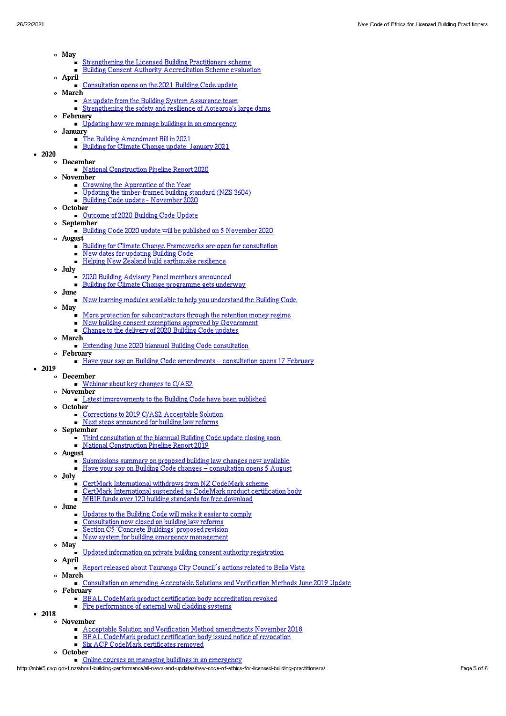- May
	- [Strengthening](http://mbie5.cwp.govt.nz/about-building-performance/all-news-and-updates/strengthening-the-licensed-building-practitioners-scheme/) the Licensed Building Practitioners scheme  $\blacksquare$ 
		- Building Consent Authority [Accreditation](http://mbie5.cwp.govt.nz/about-building-performance/all-news-and-updates/building-consent-authority-accreditation-scheme-evaluation/) Scheme evaluation  $\blacksquare$
- April [Consultation](http://mbie5.cwp.govt.nz/about-building-performance/all-news-and-updates/consultation-opens-on-the-2021-building-code-update/) opens on the 2021 Building Code update
- March
	- An update from the Building System [Assurance](http://mbie5.cwp.govt.nz/about-building-performance/all-news-and-updates/an-update-from-the-building-system-assurance-team/) team
- [Strengthening](http://mbie5.cwp.govt.nz/about-building-performance/all-news-and-updates/strengthening-the-safety-and-resilience-of-aotearoas-large-dams/) the safety and resilience of Aotearoa's large dams February
- Updating how we manage buildings in an [emergency](http://mbie5.cwp.govt.nz/about-building-performance/all-news-and-updates/updating-how-we-manage-buildings-in-an-emergency/)
- January
	- The Building [Amendment](http://mbie5.cwp.govt.nz/about-building-performance/all-news-and-updates/building-law-reform/) Bill in 2021
	- Building for Climate Change update: [January](http://mbie5.cwp.govt.nz/about-building-performance/all-news-and-updates/building-for-climate-change-update/) 2021

## $-2020$

- December
- National [Construction](http://mbie5.cwp.govt.nz/about-building-performance/all-news-and-updates/national-construction-pipeline-report-2020/) Pipeline Report 2020
- November
	- Crowning the [Apprentice](http://mbie5.cwp.govt.nz/about-building-performance/all-news-and-updates/crowning-the-apprentice-of-the-year/) of the Year
	- Updating the [timber-framed](http://mbie5.cwp.govt.nz/about-building-performance/all-news-and-updates/updating-the-timber-framed-building-standard-nzs3604/) building standard (NZS 3604)
	- Building Code update [November](http://mbie5.cwp.govt.nz/about-building-performance/all-news-and-updates/building-code-update-november-2020/) 2020
- o October
- [Outcome](http://mbie5.cwp.govt.nz/about-building-performance/all-news-and-updates/outcome-of-2020-building-code-update/) of 2020 Building Code Update
- September
	- Building Code 2020 update will be published on 5 [November](http://mbie5.cwp.govt.nz/about-building-performance/all-news-and-updates/building-code-2020-update-will-be-published-on-5-november-2020/) 2020
- August
	- Building for Climate Change [Frameworks](http://mbie5.cwp.govt.nz/about-building-performance/all-news-and-updates/the-first-two-building-for-climate-change-frameworks-are-open-for-consultation/) are open for consultation
	- New dates for [updating](http://mbie5.cwp.govt.nz/about-building-performance/all-news-and-updates/new-dates-for-updating-building-code/) Building Code  $\blacksquare$
	- Helping New Zealand build [earthquake](http://mbie5.cwp.govt.nz/about-building-performance/all-news-and-updates/helping-new-zealand-build-earthquake-resilience/) resilience  $\blacksquare$
- July
	- 2020 Building Advisory Panel members [announced](http://mbie5.cwp.govt.nz/about-building-performance/all-news-and-updates/2020-building-advisory-panel-members-announced/)
	- Building for Climate Change [programme](http://mbie5.cwp.govt.nz/about-building-performance/all-news-and-updates/building-for-climate-change-programme-gets-underway/) gets underway  $\blacksquare$
- June
	- New learning modules available to help you [understand](http://mbie5.cwp.govt.nz/about-building-performance/all-news-and-updates/new-learning-modules-available-to-help-you-understand-the-building-code/) the Building Code
- May
	- More protection for [subcontractors](http://mbie5.cwp.govt.nz/about-building-performance/all-news-and-updates/subcontractors-protection-with-retention-money-regime/) through the retention money regime
	- New building consent exemptions approved by [Government](http://mbie5.cwp.govt.nz/about-building-performance/all-news-and-updates/new-building-consent-exemptions-approved-by-government/)
	- Change to the [delivery](http://mbie5.cwp.govt.nz/about-building-performance/all-news-and-updates/change-to-the-delivery-of-2020-building-code-updates/) of 2020 Building Code updates
- March
	- Extending June 2020 biannual Building Code [consultation](http://mbie5.cwp.govt.nz/about-building-performance/all-news-and-updates/extending-june-2020-biannual-building-code-consultation/)
- February Have your say on Building Code [amendments](http://mbie5.cwp.govt.nz/about-building-performance/all-news-and-updates/have-your-say-on-building-code-amendments-consultation-opens-17-february/) - consultation opens 17 February
- $-2019$ 
	- December
		- [Webinar](http://mbie5.cwp.govt.nz/about-building-performance/all-news-and-updates/key-changes-to-cas2-webinar/) about key changes to C/AS2
		- November
		- Latest [improvements](http://mbie5.cwp.govt.nz/about-building-performance/all-news-and-updates/latest-improvements-to-the-building-code-have-been-published/) to the Building Code have been published
		- October
			- [Corrections](http://mbie5.cwp.govt.nz/about-building-performance/all-news-and-updates/corrections-to-2019-cas2-acceptable-solution/) to 2019 C/AS2 Acceptable Solution Next steps [announced](http://mbie5.cwp.govt.nz/about-building-performance/all-news-and-updates/next-steps-announced-for-building-law-reforms/) for building law reforms
			-
		- September
			- Third [consultation](http://mbie5.cwp.govt.nz/about-building-performance/all-news-and-updates/third-consultation-of-the-biannual-building-code-update-closes-5pm-on-13-september-2019/) of the biannual Building Code update closing soon National [Construction](http://mbie5.cwp.govt.nz/about-building-performance/all-news-and-updates/national-construction-pipeline-report-2019/) Pipeline Report 2019
		- August
			- [Submissions](http://mbie5.cwp.govt.nz/about-building-performance/all-news-and-updates/submissions-summary-on-proposed-building-law-changes-now-available/) summary on proposed building law changes now available
			- Have your say on Building Code changes [consultation](http://mbie5.cwp.govt.nz/about-building-performance/all-news-and-updates/building-code-changes-consultation-opens-5-august/) opens 5 August
	- July
		- CertMark [International](http://mbie5.cwp.govt.nz/about-building-performance/all-news-and-updates/certmark-international-withdraws-from-nz-codemark-scheme/) withdraws from NZ CodeMark scheme
		- CertMark [International](http://mbie5.cwp.govt.nz/about-building-performance/all-news-and-updates/certmark-international-suspended-as-codemark-product-certification-body/) suspended as CodeMark product certification body
		- MBIE funds over 120 building [standards](http://mbie5.cwp.govt.nz/about-building-performance/all-news-and-updates/mbie-funds-over-120-building-standards-for-free-download/) for free download
	- June
		- [Updates](http://mbie5.cwp.govt.nz/about-building-performance/all-news-and-updates/updates-to-the-building-code-will-make-it-easier-to-comply/) to the Building Code will make it easier to comply
		- [Consultation](http://mbie5.cwp.govt.nz/about-building-performance/all-news-and-updates/consultation-now-closed-on-building-law-reforms/) now closed on building law reforms
		- Section C5 ['Concrete](http://mbie5.cwp.govt.nz/about-building-performance/all-news-and-updates/section-c5-concrete-buildings-proposed-revision/) Buildings' proposed revision
		- New system for building emergency [management](http://mbie5.cwp.govt.nz/about-building-performance/all-news-and-updates/new-system-for-building-emergency-management/)
	- May
		- Updated [information](http://mbie5.cwp.govt.nz/about-building-performance/all-news-and-updates/updated-information-on-private-building-consent-authority-registration/) on private building consent authority registration
	- April Report released about [Tauranga](http://mbie5.cwp.govt.nz/about-building-performance/all-news-and-updates/report-released-about-tauranga-city-councils-actions-related-to-bella-vista/) City Council's actions related to Bella Vista
	- March
	- [Consultation](http://mbie5.cwp.govt.nz/about-building-performance/all-news-and-updates/consultation-on-amending-acceptable-solutions-and-verification-methods-june-2019-update/) on amending Acceptable Solutions and Verification Methods June 2019 Update
	- February
		- **BEAL CodeMark product certification body [accreditation](http://mbie5.cwp.govt.nz/about-building-performance/all-news-and-updates/bc-update-245/) revoked**
		- Fire [performance](http://mbie5.cwp.govt.nz/about-building-performance/all-news-and-updates/bc-update-244/) of external wall cladding systems
- 2018 November

 $\Omega$ 

- Acceptable Solution and Verification Method [amendments](http://mbie5.cwp.govt.nz/about-building-performance/all-news-and-updates/bc-update-243/) November 2018
- BEAL CodeMark product [certification](http://mbie5.cwp.govt.nz/about-building-performance/all-news-and-updates/bc-update-2/) body issued notice of revocation
- Six ACP CodeMark [certificates](http://mbie5.cwp.govt.nz/about-building-performance/all-news-and-updates/bc-update-241/) removed
- October
	- Online courses on managing buildings in an [emergency](http://mbie5.cwp.govt.nz/about-building-performance/all-news-and-updates/bc-update-240/)

http://mbie5.cwp.govt.nz/about-building-performance/all-news-and-updates/new-code-of-ethics-for-licensed-building-practitioners/ Page 5 of 6